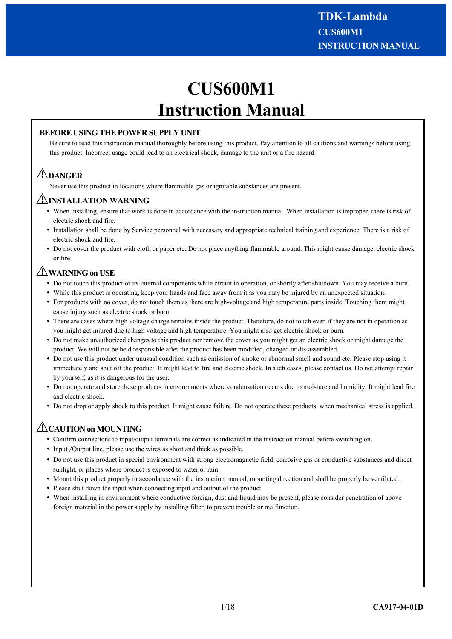# **CUS600M1 Instruction Manual**

# **BEFORE USING THE POWER SUPPLY UNIT**

Be sure to read this instruction manual thoroughly before using this product. Pay attention to all cautions and warnings before using this product. Incorrect usage could lead to an electrical shock, damage to the unit or a fire hazard.

# **DANGER**

Never use this product in locations where flammable gas or ignitable substances are present.

## **INSTALLATION WARNING**

- When installing, ensure that work is done in accordance with the instruction manual. When installation is improper, there is risk of electric shock and fire.
- Installation shall be done by Service personnel with necessary and appropriate technical training and experience. There is a risk of electric shock and fire.
- Do not cover the product with cloth or paper etc. Do not place anything flammable around. This might cause damage, electric shock or fire.

# **WARNING on USE**

- Do not touch this product or its internal components while circuit in operation, or shortly after shutdown. You may receive a burn.
- While this product is operating, keep your hands and face away from it as you may be injured by an unexpected situation.
- For products with no cover, do not touch them as there are high-voltage and high temperature parts inside. Touching them might cause injury such as electric shock or burn.
- There are cases where high voltage charge remains inside the product. Therefore, do not touch even if they are not in operation as you might get injured due to high voltage and high temperature. You might also get electric shock or burn.
- Do not make unauthorized changes to this product nor remove the cover as you might get an electric shock or might damage the product. We will not be held responsible after the product has been modified, changed or dis-assembled.
- Do not use this product under unusual condition such as emission of smoke or abnormal smell and sound etc. Please stop using it immediately and shut off the product. It might lead to fire and electric shock. In such cases, please contact us. Do not attempt repair by yourself, as it is dangerous for the user.
- Do not operate and store these products in environments where condensation occurs due to moisture and humidity. It might lead fire and electric shock.
- Do not drop or apply shock to this product. It might cause failure. Do not operate these products, when mechanical stress is applied.

# **CAUTION on MOUNTING**

- Confirm connections to input/output terminals are correct as indicated in the instruction manual before switching on.
- Input /Output line, please use the wires as short and thick as possible.
- Do not use this product in special environment with strong electromagnetic field, corrosive gas or conductive substances and direct sunlight, or places where product is exposed to water or rain.
- Mount this product properly in accordance with the instruction manual, mounting direction and shall be properly be ventilated.
- Please shut down the input when connecting input and output of the product.
- When installing in environment where conductive foreign, dust and liquid may be present, please consider penetration of above foreign material in the power supply by installing filter, to prevent trouble or malfunction.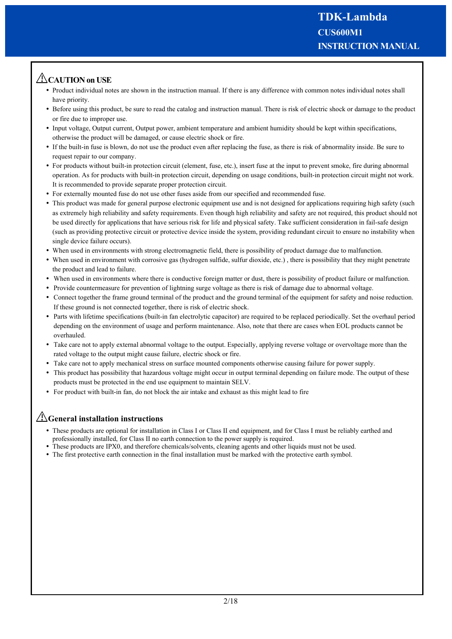# **CAUTION on USE**

- Product individual notes are shown in the instruction manual. If there is any difference with common notes individual notes shall have priority.
- Before using this product, be sure to read the catalog and instruction manual. There is risk of electric shock or damage to the product or fire due to improper use.
- Input voltage, Output current, Output power, ambient temperature and ambient humidity should be kept within specifications, otherwise the product will be damaged, or cause electric shock or fire.
- If the built-in fuse is blown, do not use the product even after replacing the fuse, as there is risk of abnormality inside. Be sure to request repair to our company.
- For products without built-in protection circuit (element, fuse, etc.), insert fuse at the input to prevent smoke, fire during abnormal operation. As for products with built-in protection circuit, depending on usage conditions, built-in protection circuit might not work. It is recommended to provide separate proper protection circuit.
- For externally mounted fuse do not use other fuses aside from our specified and recommended fuse.
- This product was made for general purpose electronic equipment use and is not designed for applications requiring high safety (such as extremely high reliability and safety requirements. Even though high reliability and safety are not required, this product should not be used directly for applications that have serious risk for life and physical safety. Take sufficient consideration in fail-safe design (such as providing protective circuit or protective device inside the system, providing redundant circuit to ensure no instability when single device failure occurs).
- When used in environments with strong electromagnetic field, there is possibility of product damage due to malfunction.
- When used in environment with corrosive gas (hydrogen sulfide, sulfur dioxide, etc.), there is possibility that they might penetrate the product and lead to failure.
- When used in environments where there is conductive foreign matter or dust, there is possibility of product failure or malfunction.
- Provide countermeasure for prevention of lightning surge voltage as there is risk of damage due to abnormal voltage.
- Connect together the frame ground terminal of the product and the ground terminal of the equipment for safety and noise reduction. If these ground is not connected together, there is risk of electric shock.
- Parts with lifetime specifications (built-in fan electrolytic capacitor) are required to be replaced periodically. Set the overhaul period depending on the environment of usage and perform maintenance. Also, note that there are cases when EOL products cannot be overhauled.
- Take care not to apply external abnormal voltage to the output. Especially, applying reverse voltage or overvoltage more than the rated voltage to the output might cause failure, electric shock or fire.
- Take care not to apply mechanical stress on surface mounted components otherwise causing failure for power supply.
- This product has possibility that hazardous voltage might occur in output terminal depending on failure mode. The output of these products must be protected in the end use equipment to maintain SELV.
- For product with built-in fan, do not block the air intake and exhaust as this might lead to fire

# **General installation instructions**

- These products are optional for installation in Class I or Class II end equipment, and for Class I must be reliably earthed and professionally installed, for Class II no earth connection to the power supply is required.
- These products are IPX0, and therefore chemicals/solvents, cleaning agents and other liquids must not be used.
- The first protective earth connection in the final installation must be marked with the protective earth symbol.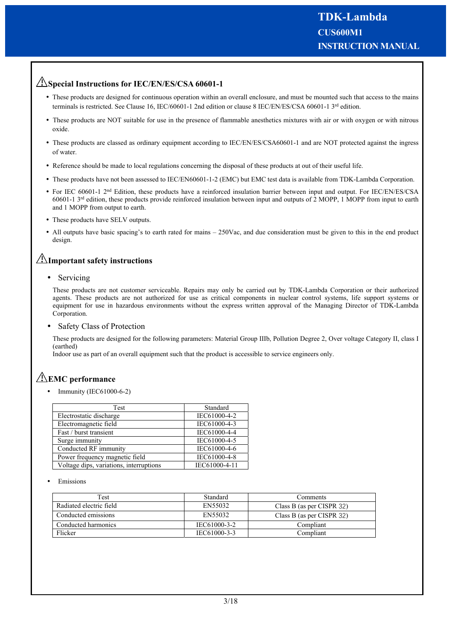# **Special Instructions for IEC/EN/ES/CSA 60601-1**

- These products are designed for continuous operation within an overall enclosure, and must be mounted such that access to the mains terminals is restricted. See Clause 16, IEC/60601-1 2nd edition or clause 8 IEC/EN/ES/CSA 60601-1 3<sup>rd</sup> edition.
- These products are NOT suitable for use in the presence of flammable anesthetics mixtures with air or with oxygen or with nitrous oxide.
- These products are classed as ordinary equipment according to IEC/EN/ES/CSA60601-1 and are NOT protected against the ingress of water.
- Reference should be made to local regulations concerning the disposal of these products at out of their useful life.
- These products have not been assessed to IEC/EN60601-1-2 (EMC) but EMC test data is available from TDK-Lambda Corporation.
- For IEC 60601-1 2<sup>nd</sup> Edition, these products have a reinforced insulation barrier between input and output. For IEC/EN/ES/CSA 60601-1 3rd edition, these products provide reinforced insulation between input and outputs of 2 MOPP, 1 MOPP from input to earth and 1 MOPP from output to earth.
- These products have SELV outputs.
- All outputs have basic spacing's to earth rated for mains 250Vac, and due consideration must be given to this in the end product design.

# **Important safety instructions**

• Servicing

These products are not customer serviceable. Repairs may only be carried out by TDK-Lambda Corporation or their authorized agents. These products are not authorized for use as critical components in nuclear control systems, life support systems or equipment for use in hazardous environments without the express written approval of the Managing Director of TDK-Lambda Corporation.

Safety Class of Protection

These products are designed for the following parameters: Material Group IIIb, Pollution Degree 2, Over voltage Category II, class I (earthed)

Indoor use as part of an overall equipment such that the product is accessible to service engineers only.

# **EMC performance**

Immunity (IEC61000-6-2)

| Test                                    | Standard      |
|-----------------------------------------|---------------|
| Electrostatic discharge                 | IEC61000-4-2  |
| Electromagnetic field                   | IEC61000-4-3  |
| Fast / burst transient                  | IEC61000-4-4  |
| Surge immunity                          | IEC61000-4-5  |
| Conducted RF immunity                   | IEC61000-4-6  |
| Power frequency magnetic field          | IEC61000-4-8  |
| Voltage dips, variations, interruptions | IEC61000-4-11 |

Emissions

| Test                    | Standard     | Comments                  |
|-------------------------|--------------|---------------------------|
| Radiated electric field | EN55032      | Class B (as per CISPR 32) |
| Conducted emissions     | EN55032      | Class B (as per CISPR 32) |
| Conducted harmonics     | IEC61000-3-2 | Compliant                 |
| Flicker                 | IEC61000-3-3 | Compliant                 |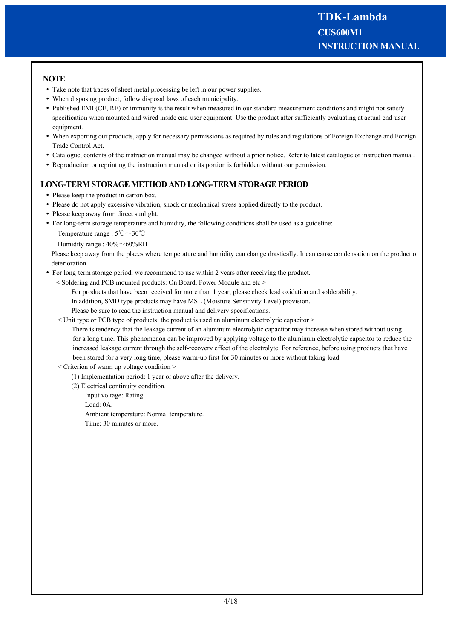# **NOTE**

- Take note that traces of sheet metal processing be left in our power supplies.
- When disposing product, follow disposal laws of each municipality.
- Published EMI (CE, RE) or immunity is the result when measured in our standard measurement conditions and might not satisfy specification when mounted and wired inside end-user equipment. Use the product after sufficiently evaluating at actual end-user equipment.
- When exporting our products, apply for necessary permissions as required by rules and regulations of Foreign Exchange and Foreign Trade Control Act.
- Catalogue, contents of the instruction manual may be changed without a prior notice. Refer to latest catalogue or instruction manual.
- Reproduction or reprinting the instruction manual or its portion is forbidden without our permission.

## **LONG-TERM STORAGE METHOD AND LONG-TERM STORAGE PERIOD**

- Please keep the product in carton box.
- Please do not apply excessive vibration, shock or mechanical stress applied directly to the product.
- Please keep away from direct sunlight.
- For long-term storage temperature and humidity, the following conditions shall be used as a guideline: Temperature range : 5℃~30℃

Humidity range : 40%~60%RH

Please keep away from the places where temperature and humidity can change drastically. It can cause condensation on the product or deterioration.

- For long-term storage period, we recommend to use within 2 years after receiving the product.
	- < Soldering and PCB mounted products: On Board, Power Module and etc >

For products that have been received for more than 1 year, please check lead oxidation and solderability.

In addition, SMD type products may have MSL (Moisture Sensitivity Level) provision.

Please be sure to read the instruction manual and delivery specifications.

< Unit type or PCB type of products: the product is used an aluminum electrolytic capacitor >

 There is tendency that the leakage current of an aluminum electrolytic capacitor may increase when stored without using for a long time. This phenomenon can be improved by applying voltage to the aluminum electrolytic capacitor to reduce the increased leakage current through the self-recovery effect of the electrolyte. For reference, before using products that have been stored for a very long time, please warm-up first for 30 minutes or more without taking load.

- < Criterion of warm up voltage condition >
	- (1) Implementation period: 1 year or above after the delivery.

(2) Electrical continuity condition.

Input voltage: Rating.

Load: 0A.

Ambient temperature: Normal temperature.

Time: 30 minutes or more.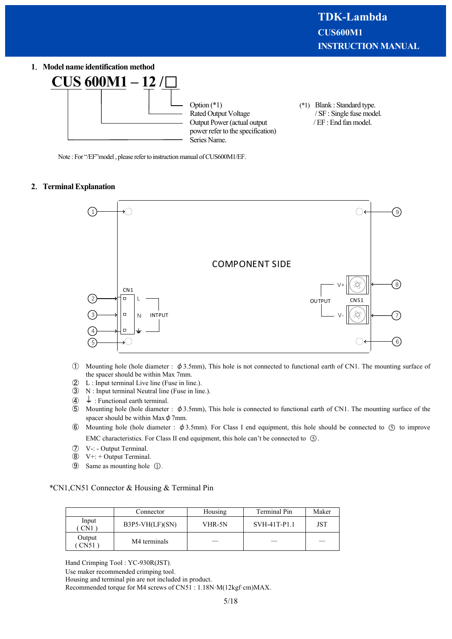#### **1**.**Model name identification method**



Note : For "/EF" model, please refer to instruction manual of CUS600M1/EF.

#### **2**.**Terminal Explanation**



- ① Mounting hole (hole diameter : φ3.5mm), This hole is not connected to functional earth of CN1. The mounting surface of the spacer should be within Max 7mm.
- ② L : Input terminal Live line (Fuse in line.).
- ③ N : Input terminal Neutral line (Fuse in line.).
- $\overline{4}$  : Functional earth terminal.
- ⑤ Mounting hole (hole diameter : φ3.5mm), This hole is connected to functional earth of CN1. The mounting surface of the spacer should be within Max  $\phi$  7mm.
- $\circled{6}$  Mounting hole (hole diameter :  $\phi$ 3.5mm). For Class I end equipment, this hole should be connected to  $\circled{5}$  to improve EMC characteristics. For Class II end equipment, this hole can't be connected to  $(5)$ .
- ⑦ V-: Output Terminal.
- ⑧ V+: + Output Terminal.
- **③** Same as mounting hole ①.

#### \*CN1,CN51 Connector & Housing & Terminal Pin

|                            | Connector         | Housing | Terminal Pin | Maker  |
|----------------------------|-------------------|---------|--------------|--------|
| Input<br>CN1               | $B3P5-VH(LF)(SN)$ | VHR-5N  | SVH-41T-P1.1 | JST    |
| Output<br>CN <sub>51</sub> | M4 terminals      |         |              | $\sim$ |

Hand Crimping Tool : YC-930R(JST).

Use maker recommended crimping tool.

Housing and terminal pin are not included in product.

Recommended torque for M4 screws of CN51 : 1.18N⋅M(12kgf⋅cm)MAX.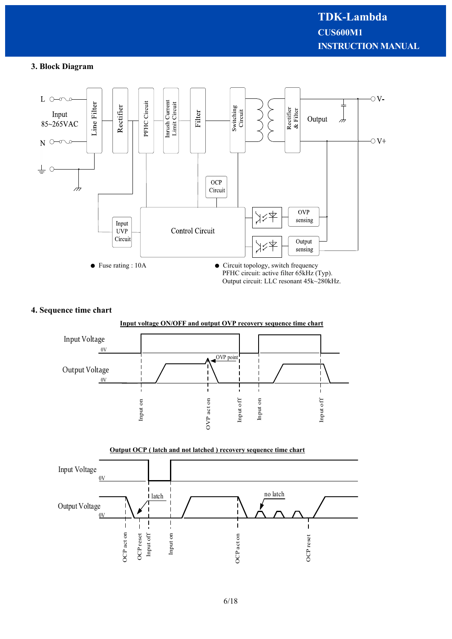## **3. Block Diagram**



#### **4. Sequence time chart**



**Output OCP ( latch and not latched ) recovery sequence time chart** 

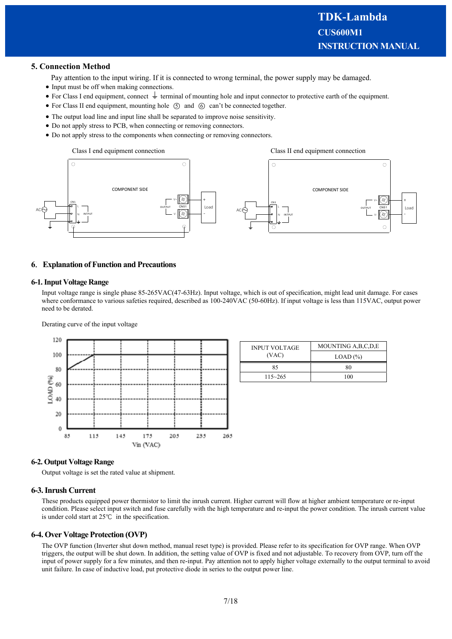#### **5. Connection Method**

- Pay attention to the input wiring. If it is connected to wrong terminal, the power supply may be damaged.
- Input must be off when making connections.
- For Class I end equipment, connect  $\frac{1}{\epsilon}$  terminal of mounting hole and input connector to protective earth of the equipment.
- For Class II end equipment, mounting hole  $(5)$  and  $(6)$  can't be connected together.
- The output load line and input line shall be separated to improve noise sensitivity.
- Do not apply stress to PCB, when connecting or removing connectors.
- Do not apply stress to the components when connecting or removing connectors.



#### **6**.**Explanation of Function and Precautions**

#### **6-1. Input Voltage Range**

Input voltage range is single phase 85-265VAC(47-63Hz). Input voltage, which is out of specification, might lead unit damage. For cases where conformance to various safeties required, described as 100-240VAC (50-60Hz). If input voltage is less than 115VAC, output power need to be derated.

Derating curve of the input voltage



| <b>INPUT VOLTAGE</b> | MOUNTING A, B, C, D, E |  |
|----------------------|------------------------|--|
| (VAC)                | LOAD $(\%)$            |  |
| 85                   | 80                     |  |
| $115 - 265$          | 100                    |  |
|                      |                        |  |

#### **6-2. Output Voltage Range**

Output voltage is set the rated value at shipment.

#### **6-3. Inrush Current**

These products equipped power thermistor to limit the inrush current. Higher current will flow at higher ambient temperature or re-input condition. Please select input switch and fuse carefully with the high temperature and re-input the power condition. The inrush current value is under cold start at 25℃ in the specification.

#### **6-4. Over Voltage Protection (OVP)**

The OVP function (Inverter shut down method, manual reset type) is provided. Please refer to its specification for OVP range. When OVP triggers, the output will be shut down. In addition, the setting value of OVP is fixed and not adjustable. To recovery from OVP, turn off the input of power supply for a few minutes, and then re-input. Pay attention not to apply higher voltage externally to the output terminal to avoid unit failure. In case of inductive load, put protective diode in series to the output power line.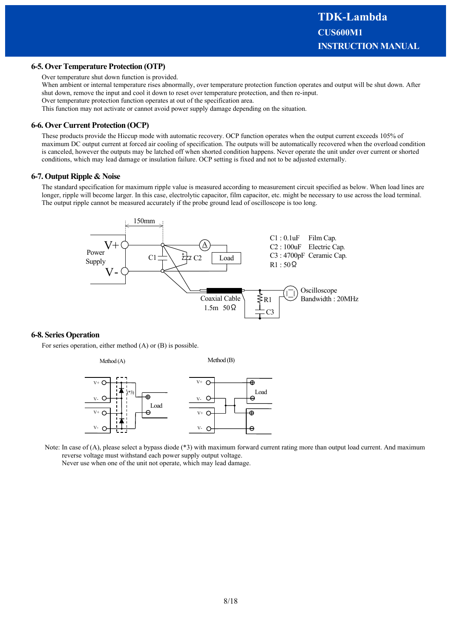#### **6-5. Over Temperature Protection (OTP)**

Over temperature shut down function is provided.

When ambient or internal temperature rises abnormally, over temperature protection function operates and output will be shut down. After shut down, remove the input and cool it down to reset over temperature protection, and then re-input.

Over temperature protection function operates at out of the specification area.

This function may not activate or cannot avoid power supply damage depending on the situation.

#### **6-6. Over Current Protection (OCP)**

These products provide the Hiccup mode with automatic recovery. OCP function operates when the output current exceeds 105% of maximum DC output current at forced air cooling of specification. The outputs will be automatically recovered when the overload condition is canceled, however the outputs may be latched off when shorted condition happens. Never operate the unit under over current or shorted conditions, which may lead damage or insulation failure. OCP setting is fixed and not to be adjusted externally.

#### **6-7. Output Ripple & Noise**

The standard specification for maximum ripple value is measured according to measurement circuit specified as below. When load lines are longer, ripple will become larger. In this case, electrolytic capacitor, film capacitor, etc. might be necessary to use across the load terminal. The output ripple cannot be measured accurately if the probe ground lead of oscilloscope is too long.



#### **6-8. Series Operation**

For series operation, either method (A) or (B) is possible.



Note: In case of (A), please select a bypass diode (\*3) with maximum forward current rating more than output load current. And maximum reverse voltage must withstand each power supply output voltage.

Never use when one of the unit not operate, which may lead damage.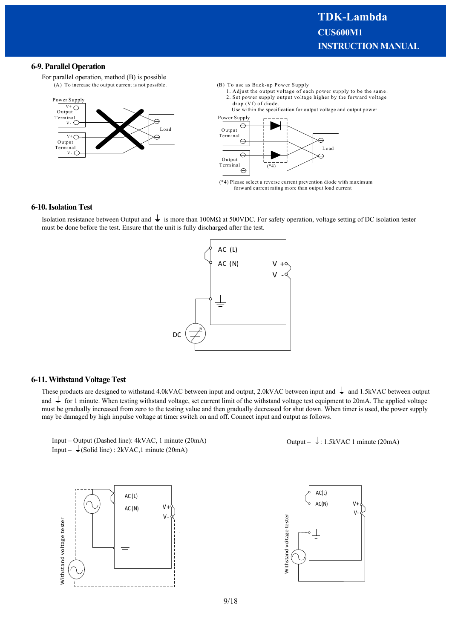#### **6-9. Parallel Operation**

For parallel operation, method (B) is possible (A) To increase the output current is not possible.



- (B) To use as Back-up Power Supply
	- 1. Adjust the output voltage of each power supply to be the same. 2. Set power supply output voltage higher by the forward voltage drop (Vf) of diode.

Use within the specification for output voltage and output power.



(\*4) Please select a reverse current prevention diode with maximum forward current rating more than output load current

#### **6-10. Isolation Test**

Isolation resistance between Output and  $\frac{1}{\epsilon}$  is more than 100MΩ at 500VDC. For safety operation, voltage setting of DC isolation tester must be done before the test. Ensure that the unit is fully discharged after the test.



#### **6-11. Withstand Voltage Test**

These products are designed to withstand 4.0kVAC between input and output, 2.0kVAC between input and  $\frac{1}{\epsilon}$  and 1.5kVAC between output and  $\perp$  for 1 minute. When testing withstand voltage, set current limit of the withstand voltage test equipment to 20mA. The applied voltage must be gradually increased from zero to the testing value and then gradually decreased for shut down. When timer is used, the power supply may be damaged by high impulse voltage at timer switch on and off. Connect input and output as follows.



Input – Output (Dashed line): 4kVAC, 1 minute (20mA) Input –  $\frac{1}{2}$ (Solid line) : 2kVAC,1 minute (20mA)



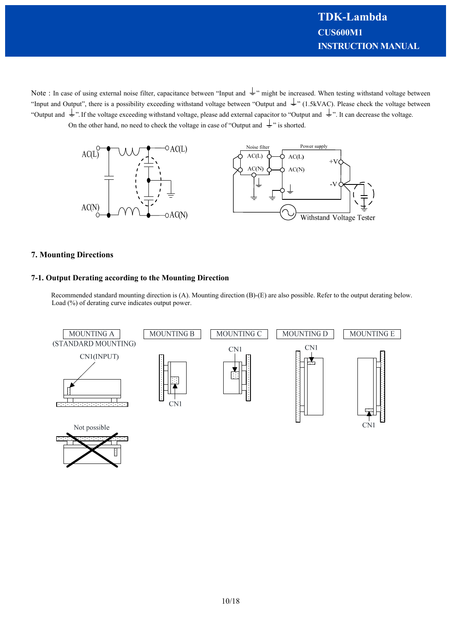Note : In case of using external noise filter, capacitance between "Input and  $\frac{1}{n}$ " might be increased. When testing withstand voltage between "Input and Output", there is a possibility exceeding withstand voltage between "Output and  $\frac{1}{n}$ " (1.5kVAC). Please check the voltage between "Output and  $\frac{1}{x}$ ". If the voltage exceeding withstand voltage, please add external capacitor to "Output and  $\frac{1}{x}$ ". It can decrease the voltage. On the other hand, no need to check the voltage in case of "Output and  $\frac{1}{x}$ " is shorted.



#### **7. Mounting Directions**

#### **7-1. Output Derating according to the Mounting Direction**

Recommended standard mounting direction is (A). Mounting direction (B)-(E) are also possible. Refer to the output derating below. Load (%) of derating curve indicates output power.

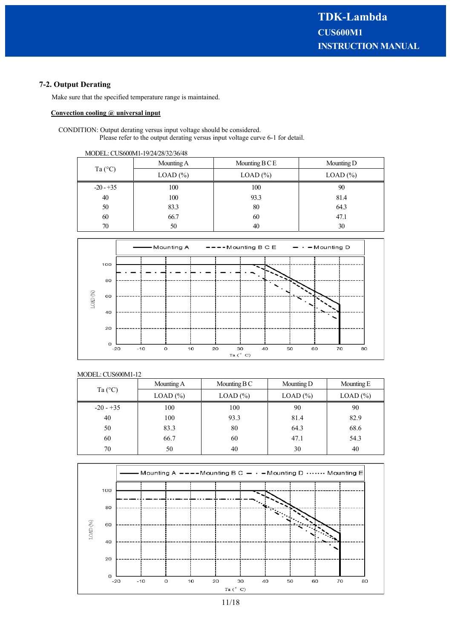# **7-2. Output Derating**

Make sure that the specified temperature range is maintained.

#### **Convection cooling @ universal input**

CONDITION: Output derating versus input voltage should be considered. Please refer to the output derating versus input voltage curve 6-1 for detail.

| MODEL: CUS600M1-19/24/28/32/36/48 |            |                        |            |  |  |
|-----------------------------------|------------|------------------------|------------|--|--|
|                                   | Mounting A | Mounting $B \subset E$ | Mounting D |  |  |
| Ta $(^{\circ}C)$                  | $LOAD$ $%$ | $LOAD$ $%$             | $LOAD$ $%$ |  |  |
| $-20 - 35$                        | 100        | 100                    | 90         |  |  |
| 40                                | 100        | 93.3                   | 81.4       |  |  |
| 50                                | 83.3       | 80                     | 64.3       |  |  |
| 60                                | 66.7       | 60                     | 47.1       |  |  |
| 70                                | 50         | 40                     | 30         |  |  |



#### MODEL: CUS600M1-12

|                  | Mounting A | Mounting $B C$ | Mounting D | Mounting E |
|------------------|------------|----------------|------------|------------|
| Ta $(^{\circ}C)$ | LOAD (%)   | LOAD (%)       | LOAD (%)   | LOAD (%)   |
| $-20 - 35$       | 100        | 100            | 90         | 90         |
| 40               | 100        | 93.3           | 81.4       | 82.9       |
| 50               | 83.3       | 80             | 64.3       | 68.6       |
| 60               | 66.7       | 60             | 47.1       | 54.3       |
| 70               | 50         | 40             | 30         | 40         |

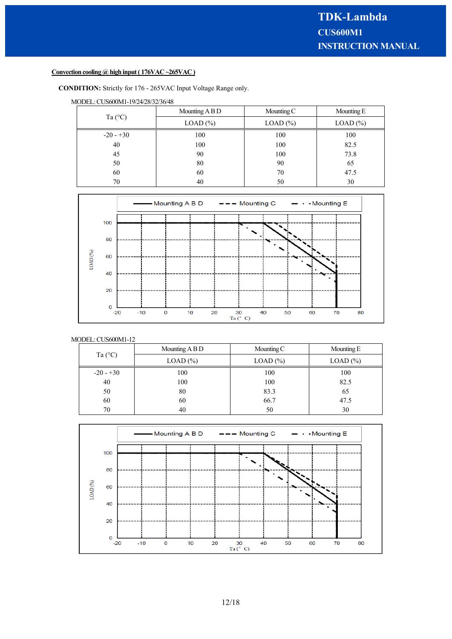#### **Convection cooling @ high input ( 176VAC ~265VAC )**

## **CONDITION:** Strictly for 176 - 265VAC Input Voltage Range only.

#### MODEL:CUS600M1-19/24/28/32/36/48

|                  | Mounting A B D | Mounting C | Mounting E |  |
|------------------|----------------|------------|------------|--|
| Ta $(^{\circ}C)$ | $LOAD$ $%$     | $LOAD$ $%$ | $LOAD$ $%$ |  |
| $-20 - +30$      | 100            | 100        | 100        |  |
| 40               | 100            | 100        | 82.5       |  |
| 45               | 90             | 100        | 73.8       |  |
| 50               | 80             | 90         | 65         |  |
| 60               | 60             | 70         | 47.5       |  |
| 70               | 40             | 50         | 30         |  |



#### MODEL: CUS600M1-12

|                  | Mounting A B D | Mounting C | Mounting E   |
|------------------|----------------|------------|--------------|
| Ta $(^{\circ}C)$ | $LOAD$ $%$     | LOAD (%)   | LOAD $(\% )$ |
| $-20 - +30$      | 100            | 100        | 100          |
| 40               | 100            | 100        | 82.5         |
| 50               | 80             | 83.3       | 65           |
| 60               | 60             | 66.7       | 47.5         |
| 70               | 40             | 50         | 30           |

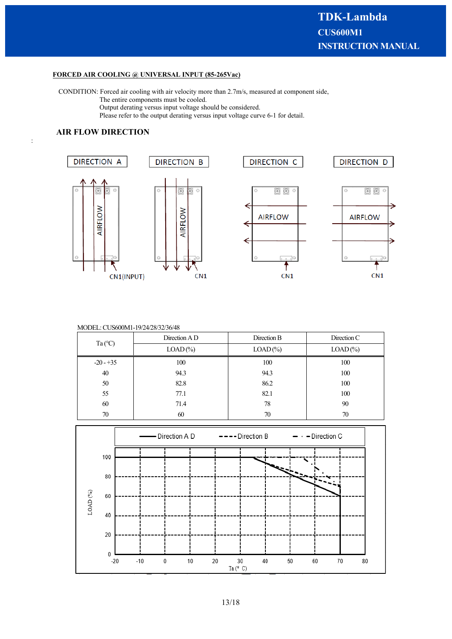#### **FORCED AIR COOLING @ UNIVERSAL INPUT (85-265Vac)**

CONDITION: Forced air cooling with air velocity more than 2.7m/s, measured at component side, The entire components must be cooled. Output derating versus input voltage should be considered.

Please refer to the output derating versus input voltage curve 6-1 for detail.

# **AIR FLOW DIRECTION**

:



#### MODEL: CUS600M1-19/24/28/32/36/48

| Direction A D    |            | Direction B | Direction $C$ |  |
|------------------|------------|-------------|---------------|--|
| Ta $(^{\circ}C)$ | $LOAD$ (%) | $LOAD$ (%)  | $LOAD$ (%)    |  |
| $-20 - 35$       | 100        | 100         | 100           |  |
| 40               | 94.3       | 94.3        | 100           |  |
| 50               | 82.8       | 86.2        | 100           |  |
| 55               | 77.1       | 82.1        | 100           |  |
| 60               | 71.4       | 78          | 90            |  |
| 70               | 60         | 70          | 70            |  |

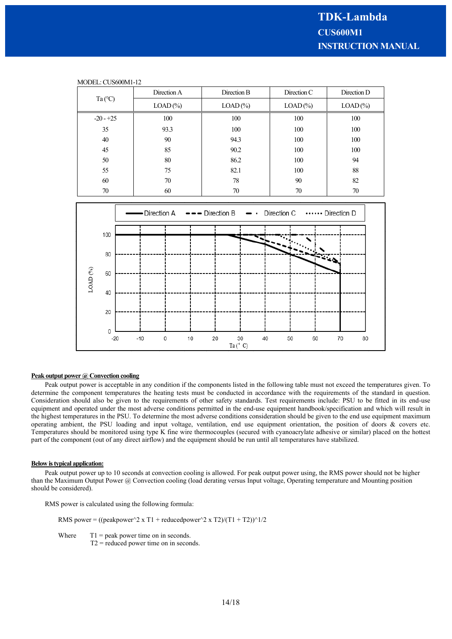| <u>IVIODEE, COBOODIVII-IZ</u> |             |             |             |             |
|-------------------------------|-------------|-------------|-------------|-------------|
| Ta $(^{\circ}C)$              | Direction A | Direction B | Direction C | Direction D |
|                               | $LOAD$ (%)  | $LOAD$ (%)  | $LOAD$ (%)  | $LOAD$ (%)  |
| $-20 - 25$                    | 100         | 100         | 100         | 100         |
| 35                            | 93.3        | 100         | 100         | 100         |
| 40                            | 90          | 94.3        | 100         | 100         |
| 45                            | 85          | 90.2        | 100         | 100         |
| 50                            | 80          | 86.2        | 100         | 94          |
| 55                            | 75          | 82.1        | 100         | 88          |
| 60                            | 70          | 78          | 90          | 82          |
| 70                            | 60          | 70          | 70          | 70          |



#### **Peak output power @ Convection cooling**

MODEL: CUS600M1-12

Peak output power is acceptable in any condition if the components listed in the following table must not exceed the temperatures given. To determine the component temperatures the heating tests must be conducted in accordance with the requirements of the standard in question. Consideration should also be given to the requirements of other safety standards. Test requirements include: PSU to be fitted in its end-use equipment and operated under the most adverse conditions permitted in the end-use equipment handbook/specification and which will result in the highest temperatures in the PSU. To determine the most adverse conditions consideration should be given to the end use equipment maximum operating ambient, the PSU loading and input voltage, ventilation, end use equipment orientation, the position of doors & covers etc. Temperatures should be monitored using type K fine wire thermocouples (secured with cyanoacrylate adhesive or similar) placed on the hottest part of the component (out of any direct airflow) and the equipment should be run until all temperatures have stabilized.

#### **Below is typical application:**

Peak output power up to 10 seconds at convection cooling is allowed. For peak output power using, the RMS power should not be higher than the Maximum Output Power @ Convection cooling (load derating versus Input voltage, Operating temperature and Mounting position should be considered).

RMS power is calculated using the following formula:

RMS power = ((peakpower^2 x T1 + reducedpower^2 x T2)/(T1 + T2))^1/2

Where  $T1 = peak power time on in seconds.$ T2 = reduced power time on in seconds.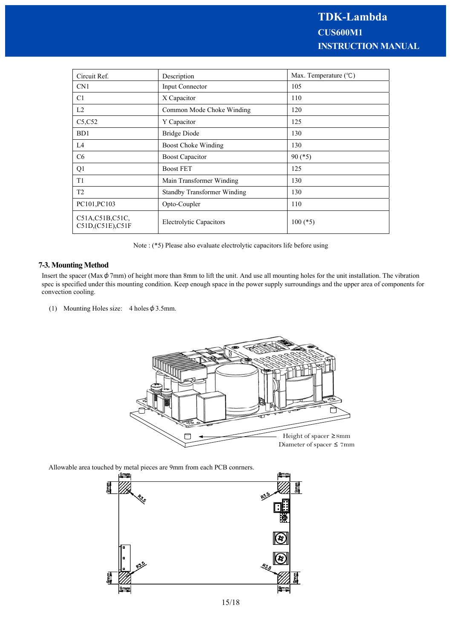| Circuit Ref.                        | Description                        | Max. Temperature $(°C)$ |
|-------------------------------------|------------------------------------|-------------------------|
| CN <sub>1</sub>                     | Input Connector                    | 105                     |
| C1                                  | X Capacitor                        | 110                     |
| L2                                  | Common Mode Choke Winding          | 120                     |
| C5, C52                             | Y Capacitor                        | 125                     |
| BD1                                 | <b>Bridge Diode</b>                | 130                     |
| L4                                  | <b>Boost Choke Winding</b>         | 130                     |
| C <sub>6</sub>                      | <b>Boost Capacitor</b>             | $90$ (*5)               |
| Q1                                  | <b>Boost FET</b>                   | 125                     |
| T1                                  | Main Transformer Winding           | 130                     |
| T <sub>2</sub>                      | <b>Standby Transformer Winding</b> | 130                     |
| PC101, PC103                        | Opto-Coupler                       | 110                     |
| C51A,C51B,C51C,<br>C51D,(C51E),C51F | Electrolytic Capacitors            | $100$ (*5)              |

Note : (\*5) Please also evaluate electrolytic capacitors life before using

#### **7-3. Mounting Method**

Insert the spacer (Max $\phi$ 7mm) of height more than 8mm to lift the unit. And use all mounting holes for the unit installation. The vibration spec is specified under this mounting condition. Keep enough space in the power supply surroundings and the upper area of components for convection cooling.

(1) Mounting Holes size:  $4$  holes  $\phi$  3.5mm.



Allowable area touched by metal pieces are 9mm from each PCB conrners.



15/18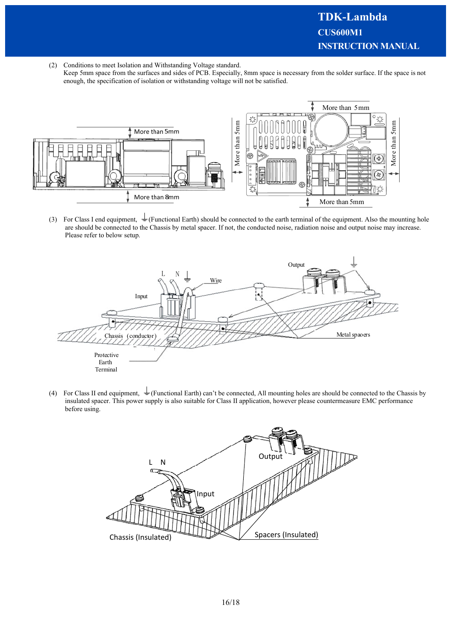(2) Conditions to meet Isolation and Withstanding Voltage standard.

Keep 5mm space from the surfaces and sides of PCB. Especially, 8mm space is necessary from the solder surface. If the space is not enough, the specification of isolation or withstanding voltage will not be satisfied.



(3) For Class I end equipment,  $\pm$  (Functional Earth) should be connected to the earth terminal of the equipment. Also the mounting hole are should be connected to the Chassis by metal spacer. If not, the conducted noise, radiation noise and output noise may increase. Please refer to below setup.



(4) For Class II end equipment,  $\pm$  (Functional Earth) can't be connected, All mounting holes are should be connected to the Chassis by insulated spacer. This power supply is also suitable for Class II application, however please countermeasure EMC performance before using.

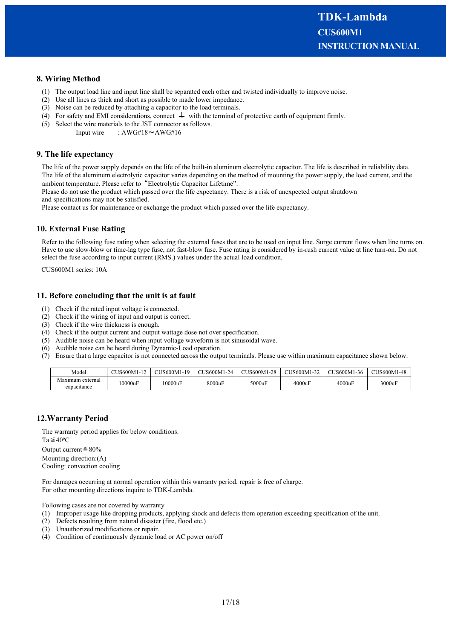## **8. Wiring Method**

- (1) The output load line and input line shall be separated each other and twisted individually to improve noise.
- (2) Use all lines as thick and short as possible to made lower impedance.
- (3) Noise can be reduced by attaching a capacitor to the load terminals.
- (4) For safety and EMI considerations, connect  $\perp$  with the terminal of protective earth of equipment firmly.
- (5) Select the wire materials to the JST connector as follows.
	- Input wire :  $AWG#18 \sim AWG#16$

#### **9. The life expectancy**

The life of the power supply depends on the life of the built-in aluminum electrolytic capacitor. The life is described in reliability data. The life of the aluminum electrolytic capacitor varies depending on the method of mounting the power supply, the load current, and the ambient temperature. Please refer to "Electrolytic Capacitor Lifetime".

Please do not use the product which passed over the life expectancy. There is a risk of unexpected output shutdown and specifications may not be satisfied.

Please contact us for maintenance or exchange the product which passed over the life expectancy.

#### **10. External Fuse Rating**

Refer to the following fuse rating when selecting the external fuses that are to be used on input line. Surge current flows when line turns on. Have to use slow-blow or time-lag type fuse, not fast-blow fuse. Fuse rating is considered by in-rush current value at line turn-on. Do not select the fuse according to input current (RMS.) values under the actual load condition.

CUS600M1 series: 10A

#### **11. Before concluding that the unit is at fault**

- (1) Check if the rated input voltage is connected.
- (2) Check if the wiring of input and output is correct.
- (3) Check if the wire thickness is enough.
- (4) Check if the output current and output wattage dose not over specification.
- (5) Audible noise can be heard when input voltage waveform is not sinusoidal wave.
- (6) Audible noise can be heard during Dynamic-Load operation.
- (7) Ensure that a large capacitor is not connected across the output terminals. Please use within maximum capacitance shown below.

| Model                           | $\text{LiSS}$ 600Ml-12 | CUS600M1-19 | CUS600M1-24 | CUS600M1-28 | CUS600M1-32 | CUS600M1-36 | CUS600M1-48 |
|---------------------------------|------------------------|-------------|-------------|-------------|-------------|-------------|-------------|
| Maxımum external<br>capacitance | 10000uF                | 10000uF     | 8000uF      | 5000uF      | 4000uF      | 4000uF      | 3000uF      |

#### **12.Warranty Period**

The warranty period applies for below conditions.  $Ta \leq 40^{\circ}C$ 

Output current  $\leq 80\%$ 

Mounting direction:(A)

Cooling: convection cooling

For damages occurring at normal operation within this warranty period, repair is free of charge. For other mounting directions inquire to TDK-Lambda.

Following cases are not covered by warranty

- (1) Improper usage like dropping products, applying shock and defects from operation exceeding specification of the unit.
- (2) Defects resulting from natural disaster (fire, flood etc.)
- (3) Unauthorized modifications or repair.
- (4) Condition of continuously dynamic load or AC power on/off